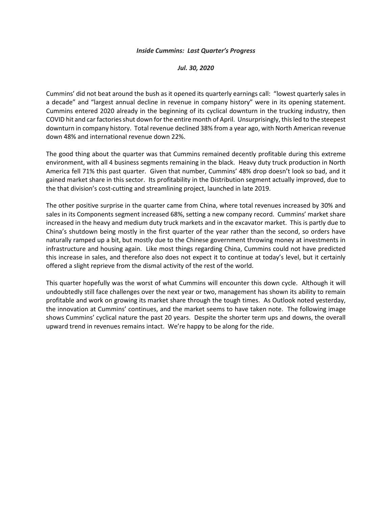## *Inside Cummins: Last Quarter's Progress*

## *Jul. 30, 2020*

Cummins' did not beat around the bush as it opened its quarterly earnings call: "lowest quarterly sales in a decade" and "largest annual decline in revenue in company history" were in its opening statement. Cummins entered 2020 already in the beginning of its cyclical downturn in the trucking industry, then COVID hit and car factoriesshut down for the entire month of April. Unsurprisingly, this led to the steepest downturn in company history. Total revenue declined 38% from a year ago, with North American revenue down 48% and international revenue down 22%.

The good thing about the quarter was that Cummins remained decently profitable during this extreme environment, with all 4 business segments remaining in the black. Heavy duty truck production in North America fell 71% this past quarter. Given that number, Cummins' 48% drop doesn't look so bad, and it gained market share in this sector. Its profitability in the Distribution segment actually improved, due to the that division's cost-cutting and streamlining project, launched in late 2019.

The other positive surprise in the quarter came from China, where total revenues increased by 30% and sales in its Components segment increased 68%, setting a new company record. Cummins' market share increased in the heavy and medium duty truck markets and in the excavator market. This is partly due to China's shutdown being mostly in the first quarter of the year rather than the second, so orders have naturally ramped up a bit, but mostly due to the Chinese government throwing money at investments in infrastructure and housing again. Like most things regarding China, Cummins could not have predicted this increase in sales, and therefore also does not expect it to continue at today's level, but it certainly offered a slight reprieve from the dismal activity of the rest of the world.

This quarter hopefully was the worst of what Cummins will encounter this down cycle. Although it will undoubtedly still face challenges over the next year or two, management has shown its ability to remain profitable and work on growing its market share through the tough times. As Outlook noted yesterday, the innovation at Cummins' continues, and the market seems to have taken note. The following image shows Cummins' cyclical nature the past 20 years. Despite the shorter term ups and downs, the overall upward trend in revenues remains intact. We're happy to be along for the ride.